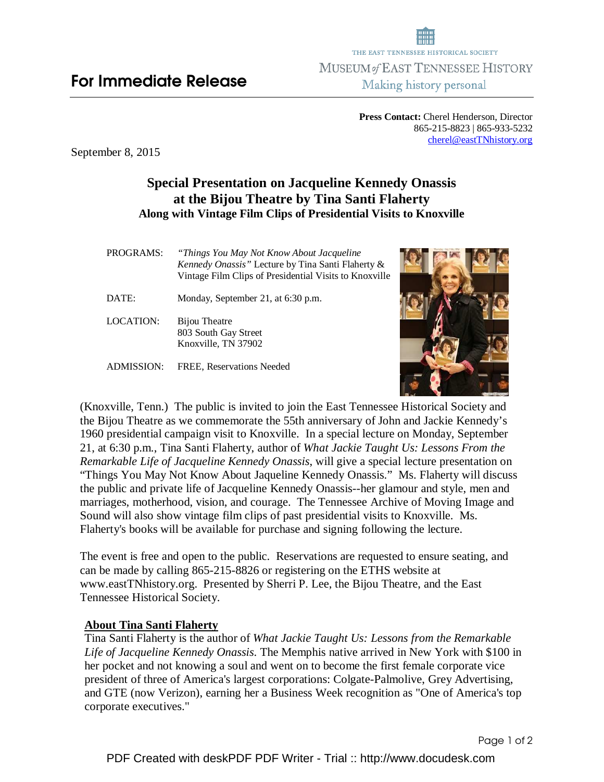**Press Contact:** Cherel Henderson, Director 865-215-8823 | 865-933-5232 cherel@eastTNhistory.org

September 8, 2015

## **Special Presentation on Jacqueline Kennedy Onassis at the Bijou Theatre by Tina Santi Flaherty Along with Vintage Film Clips of Presidential Visits to Knoxville**

| PROGRAMS:        | "Things You May Not Know About Jacqueline"<br>Kennedy Onassis" Lecture by Tina Santi Flaherty &<br>Vintage Film Clips of Presidential Visits to Knoxville |  |
|------------------|-----------------------------------------------------------------------------------------------------------------------------------------------------------|--|
| DATE:            | Monday, September 21, at 6:30 p.m.                                                                                                                        |  |
| <b>LOCATION:</b> | Bijou Theatre<br>803 South Gay Street<br>Knoxville, TN 37902                                                                                              |  |
| ADMISSION:       | FREE, Reservations Needed                                                                                                                                 |  |

(Knoxville, Tenn.) The public is invited to join the East Tennessee Historical Society and the Bijou Theatre as we commemorate the 55th anniversary of John and Jackie Kennedy's 1960 presidential campaign visit to Knoxville. In a special lecture on Monday, September 21, at 6:30 p.m., Tina Santi Flaherty, author of *What Jackie Taught Us: Lessons From the Remarkable Life of Jacqueline Kennedy Onassis*, will give a special lecture presentation on "Things You May Not Know About Jaqueline Kennedy Onassis." Ms. Flaherty will discuss the public and private life of Jacqueline Kennedy Onassis--her glamour and style, men and marriages, motherhood, vision, and courage. The Tennessee Archive of Moving Image and Sound will also show vintage film clips of past presidential visits to Knoxville. Ms. Flaherty's books will be available for purchase and signing following the lecture.

The event is free and open to the public. Reservations are requested to ensure seating, and can be made by calling 865-215-8826 or registering on the ETHS website at www.eastTNhistory.org. Presented by Sherri P. Lee, the Bijou Theatre, and the East Tennessee Historical Society.

## **About Tina Santi Flaherty**

Tina Santi Flaherty is the author of *What Jackie Taught Us: Lessons from the Remarkable Life of Jacqueline Kennedy Onassis*. The Memphis native arrived in New York with \$100 in her pocket and not knowing a soul and went on to become the first female corporate vice president of three of America's largest corporations: Colgate-Palmolive, Grey Advertising, and GTE (now Verizon), earning her a Business Week recognition as "One of America's top corporate executives."



Page 1 of 2